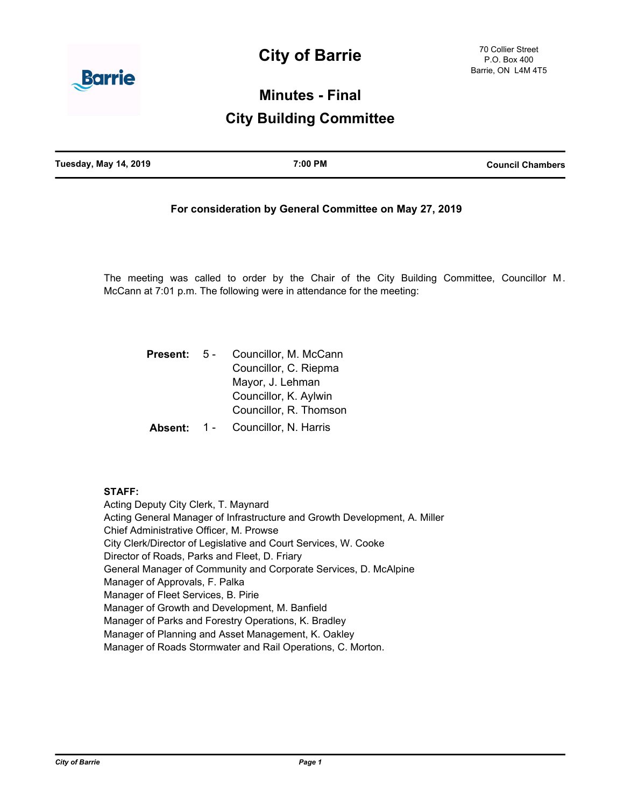# **City of Barrie**



# **Minutes - Final**

# **City Building Committee**

| <b>Tuesday, May 14, 2019</b> | 7:00 PM | <b>Council Chambers</b> |
|------------------------------|---------|-------------------------|
|                              |         |                         |

# **For consideration by General Committee on May 27, 2019**

The meeting was called to order by the Chair of the City Building Committee, Councillor M. McCann at 7:01 p.m. The following were in attendance for the meeting:

| <b>Present:</b> | 5 -   | Councillor, M. McCann  |
|-----------------|-------|------------------------|
|                 |       | Councillor, C. Riepma  |
|                 |       | Mayor, J. Lehman       |
|                 |       | Councillor, K. Aylwin  |
|                 |       | Councillor, R. Thomson |
| Absent:         | $1 -$ | Councillor, N. Harris  |

#### **STAFF:**

Acting Deputy City Clerk, T. Maynard Acting General Manager of Infrastructure and Growth Development, A. Miller Chief Administrative Officer, M. Prowse City Clerk/Director of Legislative and Court Services, W. Cooke Director of Roads, Parks and Fleet, D. Friary General Manager of Community and Corporate Services, D. McAlpine Manager of Approvals, F. Palka Manager of Fleet Services, B. Pirie Manager of Growth and Development, M. Banfield Manager of Parks and Forestry Operations, K. Bradley Manager of Planning and Asset Management, K. Oakley Manager of Roads Stormwater and Rail Operations, C. Morton.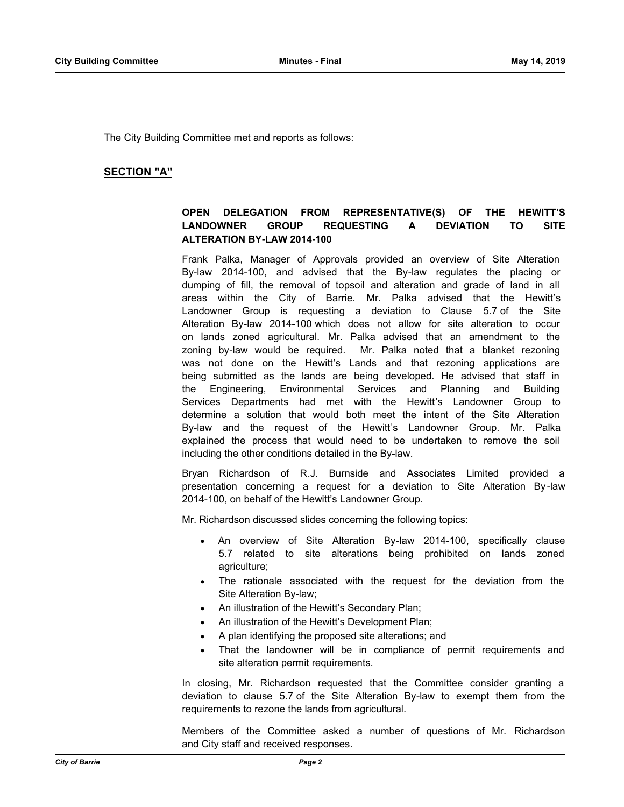The City Building Committee met and reports as follows:

## **SECTION "A"**

# **OPEN DELEGATION FROM REPRESENTATIVE(S) OF THE HEWITT'S LANDOWNER GROUP REQUESTING A DEVIATION TO SITE ALTERATION BY-LAW 2014-100**

Frank Palka, Manager of Approvals provided an overview of Site Alteration By-law 2014-100, and advised that the By-law regulates the placing or dumping of fill, the removal of topsoil and alteration and grade of land in all areas within the City of Barrie. Mr. Palka advised that the Hewitt's Landowner Group is requesting a deviation to Clause 5.7 of the Site Alteration By-law 2014-100 which does not allow for site alteration to occur on lands zoned agricultural. Mr. Palka advised that an amendment to the zoning by-law would be required. Mr. Palka noted that a blanket rezoning was not done on the Hewitt's Lands and that rezoning applications are being submitted as the lands are being developed. He advised that staff in the Engineering, Environmental Services and Planning and Building Services Departments had met with the Hewitt's Landowner Group to determine a solution that would both meet the intent of the Site Alteration By-law and the request of the Hewitt's Landowner Group. Mr. Palka explained the process that would need to be undertaken to remove the soil including the other conditions detailed in the By-law.

Bryan Richardson of R.J. Burnside and Associates Limited provided a presentation concerning a request for a deviation to Site Alteration By -law 2014-100, on behalf of the Hewitt's Landowner Group.

Mr. Richardson discussed slides concerning the following topics:

- An overview of Site Alteration By-law 2014-100, specifically clause 5.7 related to site alterations being prohibited on lands zoned agriculture;
- The rationale associated with the request for the deviation from the Site Alteration By-law;
- An illustration of the Hewitt's Secondary Plan;
- An illustration of the Hewitt's Development Plan;
- · A plan identifying the proposed site alterations; and
- That the landowner will be in compliance of permit requirements and site alteration permit requirements.

In closing, Mr. Richardson requested that the Committee consider granting a deviation to clause 5.7 of the Site Alteration By-law to exempt them from the requirements to rezone the lands from agricultural.

Members of the Committee asked a number of questions of Mr. Richardson and City staff and received responses.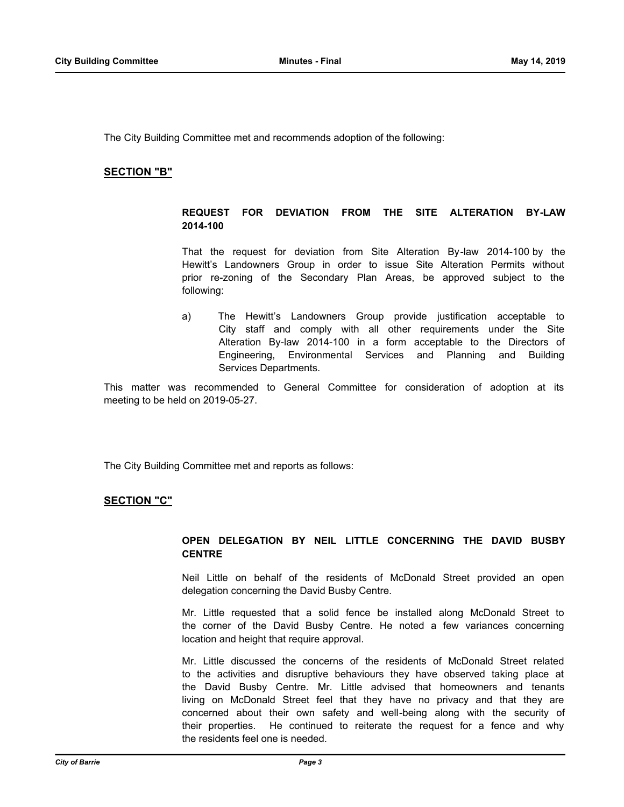The City Building Committee met and recommends adoption of the following:

#### **SECTION "B"**

### **REQUEST FOR DEVIATION FROM THE SITE ALTERATION BY-LAW 2014-100**

That the request for deviation from Site Alteration By-law 2014-100 by the Hewitt's Landowners Group in order to issue Site Alteration Permits without prior re-zoning of the Secondary Plan Areas, be approved subject to the following:

a) The Hewitt's Landowners Group provide justification acceptable to City staff and comply with all other requirements under the Site Alteration By-law 2014-100 in a form acceptable to the Directors of Engineering, Environmental Services and Planning and Building Services Departments.

This matter was recommended to General Committee for consideration of adoption at its meeting to be held on 2019-05-27.

The City Building Committee met and reports as follows:

#### **SECTION "C"**

# **OPEN DELEGATION BY NEIL LITTLE CONCERNING THE DAVID BUSBY CENTRE**

Neil Little on behalf of the residents of McDonald Street provided an open delegation concerning the David Busby Centre.

Mr. Little requested that a solid fence be installed along McDonald Street to the corner of the David Busby Centre. He noted a few variances concerning location and height that require approval.

Mr. Little discussed the concerns of the residents of McDonald Street related to the activities and disruptive behaviours they have observed taking place at the David Busby Centre. Mr. Little advised that homeowners and tenants living on McDonald Street feel that they have no privacy and that they are concerned about their own safety and well-being along with the security of their properties. He continued to reiterate the request for a fence and why the residents feel one is needed.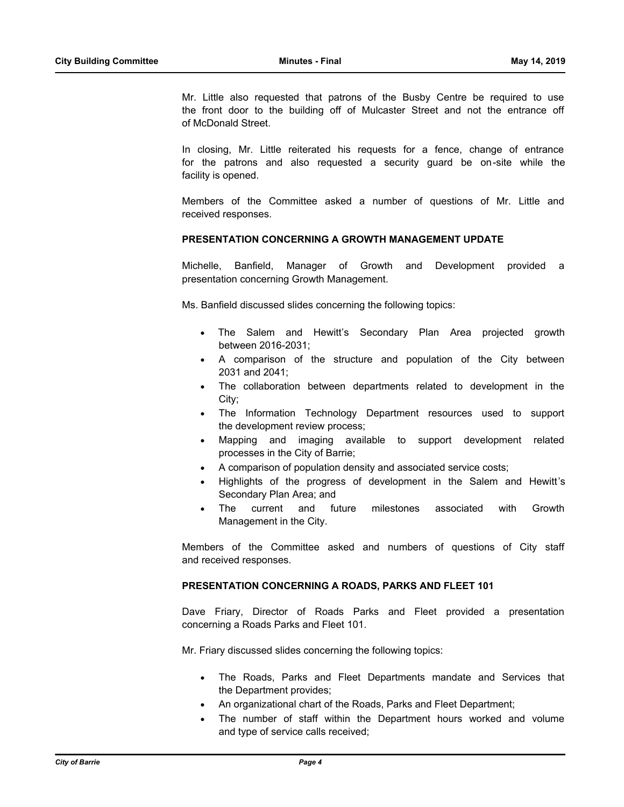Mr. Little also requested that patrons of the Busby Centre be required to use the front door to the building off of Mulcaster Street and not the entrance off of McDonald Street.

In closing, Mr. Little reiterated his requests for a fence, change of entrance for the patrons and also requested a security guard be on-site while the facility is opened.

Members of the Committee asked a number of questions of Mr. Little and received responses.

#### **PRESENTATION CONCERNING A GROWTH MANAGEMENT UPDATE**

Michelle, Banfield, Manager of Growth and Development provided a presentation concerning Growth Management.

Ms. Banfield discussed slides concerning the following topics:

- · The Salem and Hewitt's Secondary Plan Area projected growth between 2016-2031;
- · A comparison of the structure and population of the City between 2031 and 2041;
- The collaboration between departments related to development in the City;
- · The Information Technology Department resources used to support the development review process;
- Mapping and imaging available to support development related processes in the City of Barrie;
- A comparison of population density and associated service costs;
- · Highlights of the progress of development in the Salem and Hewitt's Secondary Plan Area; and
- · The current and future milestones associated with Growth Management in the City.

Members of the Committee asked and numbers of questions of City staff and received responses.

#### **PRESENTATION CONCERNING A ROADS, PARKS AND FLEET 101**

Dave Friary, Director of Roads Parks and Fleet provided a presentation concerning a Roads Parks and Fleet 101.

Mr. Friary discussed slides concerning the following topics:

- The Roads, Parks and Fleet Departments mandate and Services that the Department provides;
- · An organizational chart of the Roads, Parks and Fleet Department;
- The number of staff within the Department hours worked and volume and type of service calls received;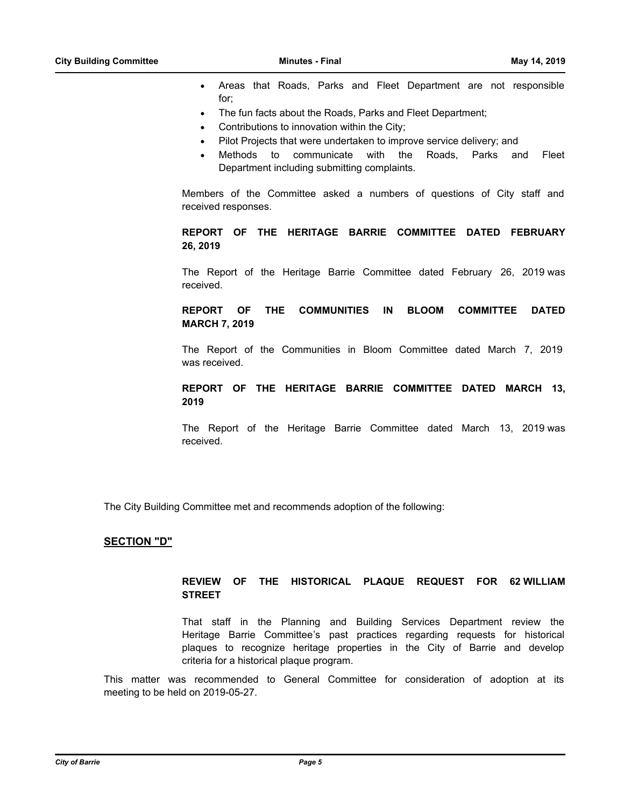- · Areas that Roads, Parks and Fleet Department are not responsible for;
- The fun facts about the Roads, Parks and Fleet Department;
- Contributions to innovation within the City;
- Pilot Projects that were undertaken to improve service delivery; and
- Methods to communicate with the Roads. Parks and Fleet Department including submitting complaints.

Members of the Committee asked a numbers of questions of City staff and received responses.

# **REPORT OF THE HERITAGE BARRIE COMMITTEE DATED FEBRUARY 26, 2019**

The Report of the Heritage Barrie Committee dated February 26, 2019 was received.

## **REPORT OF THE COMMUNITIES IN BLOOM COMMITTEE DATED MARCH 7, 2019**

The Report of the Communities in Bloom Committee dated March 7, 2019 was received.

# **REPORT OF THE HERITAGE BARRIE COMMITTEE DATED MARCH 13, 2019**

The Report of the Heritage Barrie Committee dated March 13, 2019 was received.

The City Building Committee met and recommends adoption of the following:

#### **SECTION "D"**

## **REVIEW OF THE HISTORICAL PLAQUE REQUEST FOR 62 WILLIAM STREET**

That staff in the Planning and Building Services Department review the Heritage Barrie Committee's past practices regarding requests for historical plaques to recognize heritage properties in the City of Barrie and develop criteria for a historical plaque program.

This matter was recommended to General Committee for consideration of adoption at its meeting to be held on 2019-05-27.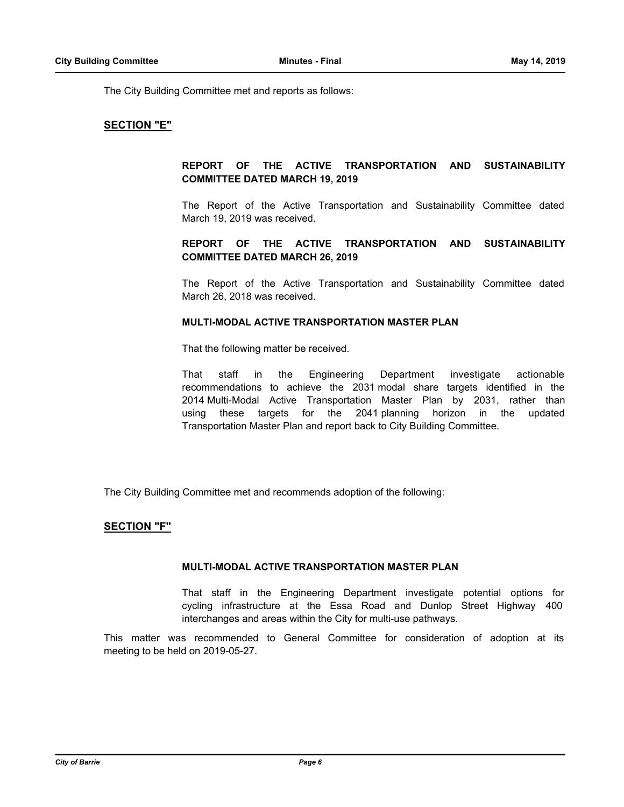The City Building Committee met and reports as follows:

## **SECTION "E"**

# **REPORT OF THE ACTIVE TRANSPORTATION AND SUSTAINABILITY COMMITTEE DATED MARCH 19, 2019**

The Report of the Active Transportation and Sustainability Committee dated March 19, 2019 was received.

## **REPORT OF THE ACTIVE TRANSPORTATION AND SUSTAINABILITY COMMITTEE DATED MARCH 26, 2019**

The Report of the Active Transportation and Sustainability Committee dated March 26, 2018 was received.

#### **MULTI-MODAL ACTIVE TRANSPORTATION MASTER PLAN**

That the following matter be received.

That staff in the Engineering Department investigate actionable recommendations to achieve the 2031 modal share targets identified in the 2014 Multi-Modal Active Transportation Master Plan by 2031, rather than using these targets for the 2041 planning horizon in the updated Transportation Master Plan and report back to City Building Committee.

The City Building Committee met and recommends adoption of the following:

#### **SECTION "F"**

### **MULTI-MODAL ACTIVE TRANSPORTATION MASTER PLAN**

That staff in the Engineering Department investigate potential options for cycling infrastructure at the Essa Road and Dunlop Street Highway 400 interchanges and areas within the City for multi-use pathways.

This matter was recommended to General Committee for consideration of adoption at its meeting to be held on 2019-05-27.